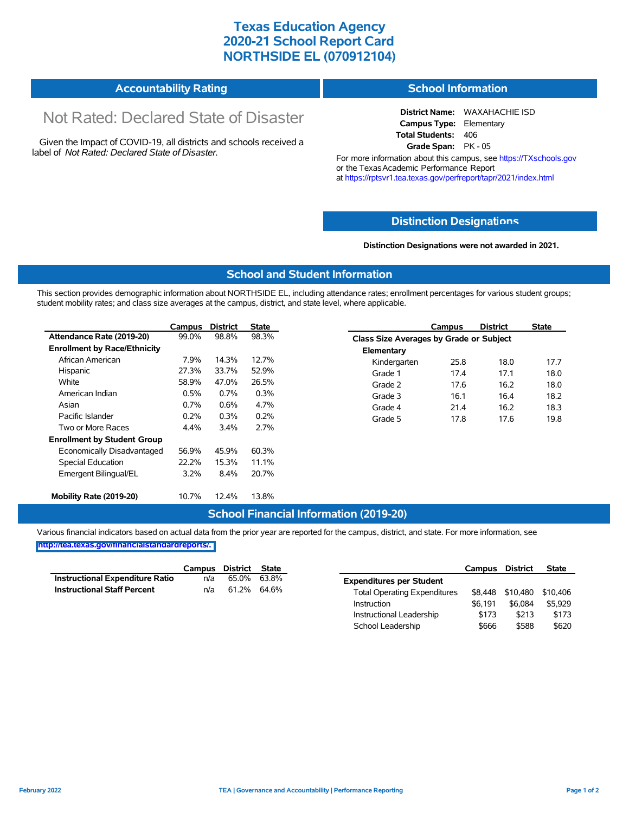### **Texas Education Agency 2020-21 School Report Card NORTHSIDE EL (070912104)**

#### **Accountability Rating School Information**

# Not Rated: Declared State of Disaster

Given the Impact of COVID-19, all districts and schools received a label of *Not Rated: Declared State of Disaster.*

#### **District Name:** WAXAHACHIE ISD **Campus Type:** Elementary **Total Students:** 406

**Grade Span:** PK - 05

For more information about this campus, see https://TXschools.gov or the Texas Academic Performance Report at https://rptsvr1.tea.texas.gov/perfreport/tapr/2021/index.html

### **Distinction Designat[ions](https://TXschools.gov)**

**Distinction Designations were not awarded in 2021.**

School Leadership  $$666$  \$588 \$620

#### **School and Student Information**

This section provides demographic information about NORTHSIDE EL, including attendance rates; enrollment percentages for various student groups; student mobility rates; and class size averages at the campus, district, and state level, where applicable.

|                                     | Campus  | <b>District</b> | State |              | Campus                                  | <b>District</b> | <b>State</b> |  |  |
|-------------------------------------|---------|-----------------|-------|--------------|-----------------------------------------|-----------------|--------------|--|--|
| Attendance Rate (2019-20)           | 99.0%   | 98.8%           | 98.3% |              | Class Size Averages by Grade or Subject |                 |              |  |  |
| <b>Enrollment by Race/Ethnicity</b> |         |                 |       | Elementary   |                                         |                 |              |  |  |
| African American                    | 7.9%    | 14.3%           | 12.7% | Kindergarten | 25.8                                    | 18.0            | 17.7         |  |  |
| Hispanic                            | 27.3%   | 33.7%           | 52.9% | Grade 1      | 17.4                                    | 17.1            | 18.0         |  |  |
| White                               | 58.9%   | 47.0%           | 26.5% | Grade 2      | 17.6                                    | 16.2            | 18.0         |  |  |
| American Indian                     | 0.5%    | 0.7%            | 0.3%  | Grade 3      | 16.1                                    | 16.4            | 18.2         |  |  |
| Asian                               | 0.7%    | 0.6%            | 4.7%  | Grade 4      | 21.4                                    | 16.2            | 18.3         |  |  |
| Pacific Islander                    | 0.2%    | 0.3%            | 0.2%  | Grade 5      | 17.8                                    | 17.6            | 19.8         |  |  |
| Two or More Races                   | 4.4%    | 3.4%            | 2.7%  |              |                                         |                 |              |  |  |
| <b>Enrollment by Student Group</b>  |         |                 |       |              |                                         |                 |              |  |  |
| Economically Disadvantaged          | 56.9%   | 45.9%           | 60.3% |              |                                         |                 |              |  |  |
| <b>Special Education</b>            | 22.2%   | 15.3%           | 11.1% |              |                                         |                 |              |  |  |
| Emergent Bilingual/EL               | $3.2\%$ | 8.4%            | 20.7% |              |                                         |                 |              |  |  |
|                                     |         |                 |       |              |                                         |                 |              |  |  |
| Mobility Rate (2019-20)             | 10.7%   | 12.4%           | 13.8% |              |                                         |                 |              |  |  |

#### **School Financial Information (2019-20)**

Various financial indicators based on actual data from the prior year are reported for the campus, district, and state. For more information, see

**[http://tea.texas.gov/financialstandardreports/.](http://tea.texas.gov/financialstandardreports/)**

|                                        | Campus | District    | State |                                     | Campus  | <b>District</b>  | <b>State</b> |
|----------------------------------------|--------|-------------|-------|-------------------------------------|---------|------------------|--------------|
| <b>Instructional Expenditure Ratio</b> | n/a    | 65.0%       | 63.8% | <b>Expenditures per Student</b>     |         |                  |              |
| <b>Instructional Staff Percent</b>     | n/a    | 61.2% 64.6% |       | <b>Total Operating Expenditures</b> |         | \$8,448 \$10,480 | \$10,406     |
|                                        |        |             |       | Instruction                         | \$6.191 | \$6.084          | \$5.929      |
|                                        |        |             |       | Instructional Leadership            | \$173   | \$213            | \$173        |